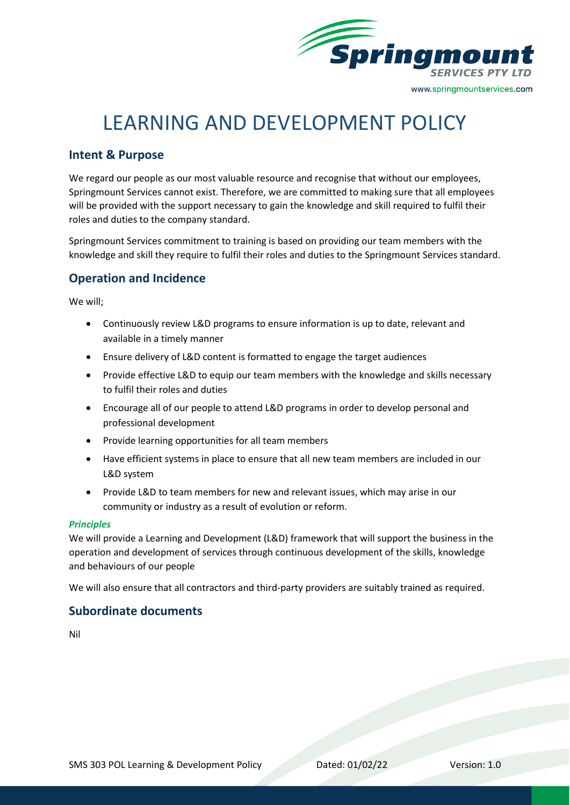

# LEARNING AND DEVELOPMENT POLICY

## **Intent & Purpose**

We regard our people as our most valuable resource and recognise that without our employees, Springmount Services cannot exist. Therefore, we are committed to making sure that all employees will be provided with the support necessary to gain the knowledge and skill required to fulfil their roles and duties to the company standard.

Springmount Services commitment to training is based on providing our team members with the knowledge and skill they require to fulfil their roles and duties to the Springmount Services standard.

## **Operation and Incidence**

We will;

- Continuously review L&D programs to ensure information is up to date, relevant and available in a timely manner
- Ensure delivery of L&D content is formatted to engage the target audiences
- Provide effective L&D to equip our team members with the knowledge and skills necessary to fulfil their roles and duties
- Encourage all of our people to attend L&D programs in order to develop personal and professional development
- Provide learning opportunities for all team members
- Have efficient systems in place to ensure that all new team members are included in our L&D system
- Provide L&D to team members for new and relevant issues, which may arise in our community or industry as a result of evolution or reform.

#### *Principles*

We will provide a Learning and Development (L&D) framework that will support the business in the operation and development of services through continuous development of the skills, knowledge and behaviours of our people

We will also ensure that all contractors and third-party providers are suitably trained as required.

## **Subordinate documents**

Nil